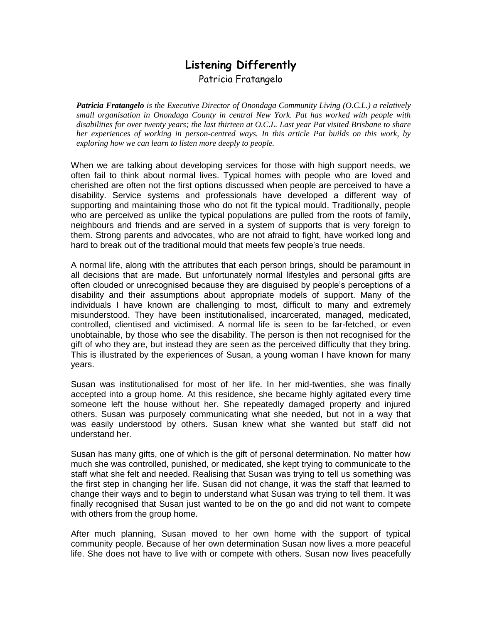## **Listening Differently** Patricia Fratangelo

*Patricia Fratangelo is the Executive Director of Onondaga Community Living (O.C.L.) a relatively small organisation in Onondaga County in central New York. Pat has worked with people with disabilities for over twenty years; the last thirteen at O.C.L. Last year Pat visited Brisbane to share her experiences of working in person-centred ways. In this article Pat builds on this work, by exploring how we can learn to listen more deeply to people.* 

When we are talking about developing services for those with high support needs, we often fail to think about normal lives. Typical homes with people who are loved and cherished are often not the first options discussed when people are perceived to have a disability. Service systems and professionals have developed a different way of supporting and maintaining those who do not fit the typical mould. Traditionally, people who are perceived as unlike the typical populations are pulled from the roots of family, neighbours and friends and are served in a system of supports that is very foreign to them. Strong parents and advocates, who are not afraid to fight, have worked long and hard to break out of the traditional mould that meets few people's true needs.

A normal life, along with the attributes that each person brings, should be paramount in all decisions that are made. But unfortunately normal lifestyles and personal gifts are often clouded or unrecognised because they are disguised by people's perceptions of a disability and their assumptions about appropriate models of support. Many of the individuals I have known are challenging to most, difficult to many and extremely misunderstood. They have been institutionalised, incarcerated, managed, medicated, controlled, clientised and victimised. A normal life is seen to be far-fetched, or even unobtainable, by those who see the disability. The person is then not recognised for the gift of who they are, but instead they are seen as the perceived difficulty that they bring. This is illustrated by the experiences of Susan, a young woman I have known for many years.

Susan was institutionalised for most of her life. In her mid-twenties, she was finally accepted into a group home. At this residence, she became highly agitated every time someone left the house without her. She repeatedly damaged property and injured others. Susan was purposely communicating what she needed, but not in a way that was easily understood by others. Susan knew what she wanted but staff did not understand her.

Susan has many gifts, one of which is the gift of personal determination. No matter how much she was controlled, punished, or medicated, she kept trying to communicate to the staff what she felt and needed. Realising that Susan was trying to tell us something was the first step in changing her life. Susan did not change, it was the staff that learned to change their ways and to begin to understand what Susan was trying to tell them. It was finally recognised that Susan just wanted to be on the go and did not want to compete with others from the group home.

After much planning, Susan moved to her own home with the support of typical community people. Because of her own determination Susan now lives a more peaceful life. She does not have to live with or compete with others. Susan now lives peacefully